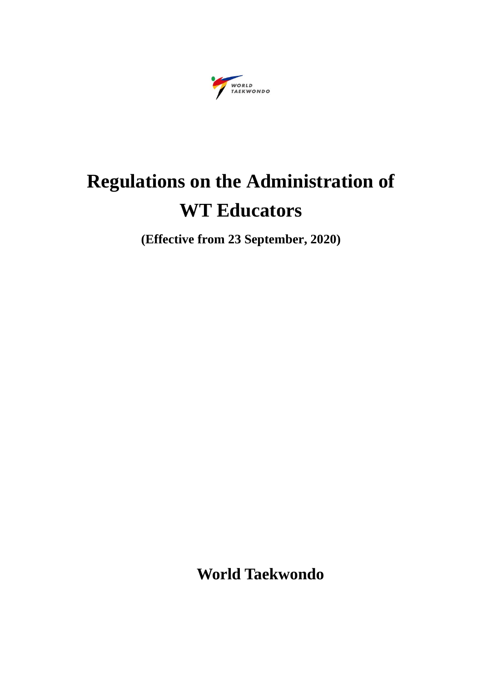

# **Regulations on the Administration of WT Educators**

**(Effective from 23 September, 2020)**

**World Taekwondo**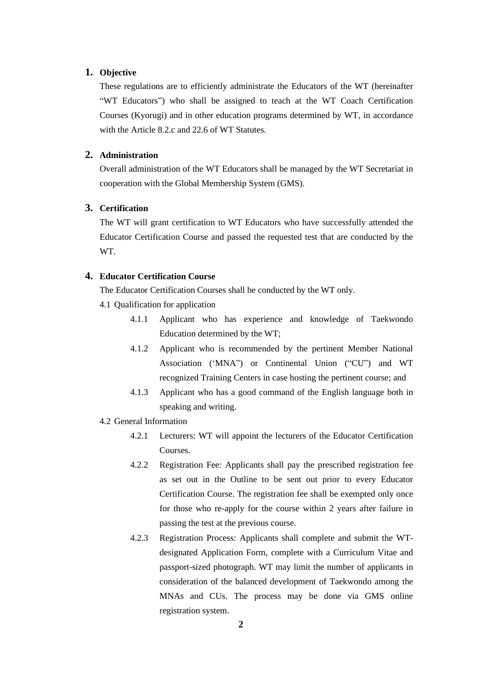## **1. Objective**

These regulations are to efficiently administrate the Educators of the WT (hereinafter "WT Educators") who shall be assigned to teach at the WT Coach Certification Courses (Kyorugi) and in other education programs determined by WT, in accordance with the Article 8.2.c and 22.6 of WT Statutes.

# **2. Administration**

Overall administration of the WT Educators shall be managed by the WT Secretariat in cooperation with the Global Membership System (GMS).

# **3. Certification**

The WT will grant certification to WT Educators who have successfully attended the Educator Certification Course and passed the requested test that are conducted by the WT.

## **4. Educator Certification Course**

The Educator Certification Courses shall be conducted by the WT only.

- 4.1 Qualification for application
	- 4.1.1 Applicant who has experience and knowledge of Taekwondo Education determined by the WT;
	- 4.1.2 Applicant who is recommended by the pertinent Member National Association ('MNA") or Continental Union ("CU") and WT recognized Training Centers in case hosting the pertinent course; and
	- 4.1.3 Applicant who has a good command of the English language both in speaking and writing.
- 4.2 General Information
	- 4.2.1 Lecturers: WT will appoint the lecturers of the Educator Certification Courses.
	- 4.2.2 Registration Fee: Applicants shall pay the prescribed registration fee as set out in the Outline to be sent out prior to every Educator Certification Course. The registration fee shall be exempted only once for those who re-apply for the course within 2 years after failure in passing the test at the previous course.
	- 4.2.3 Registration Process: Applicants shall complete and submit the WTdesignated Application Form, complete with a Curriculum Vitae and passport-sized photograph. WT may limit the number of applicants in consideration of the balanced development of Taekwondo among the MNAs and CUs. The process may be done via GMS online registration system.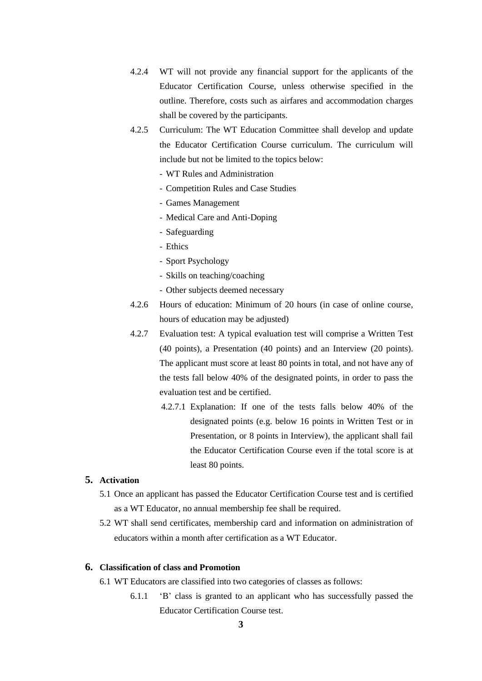- 4.2.4 WT will not provide any financial support for the applicants of the Educator Certification Course, unless otherwise specified in the outline. Therefore, costs such as airfares and accommodation charges shall be covered by the participants.
- 4.2.5 Curriculum: The WT Education Committee shall develop and update the Educator Certification Course curriculum. The curriculum will include but not be limited to the topics below:
	- WT Rules and Administration
	- Competition Rules and Case Studies
	- Games Management
	- Medical Care and Anti-Doping
	- Safeguarding
	- Ethics
	- Sport Psychology
	- Skills on teaching/coaching
	- Other subjects deemed necessary
- 4.2.6 Hours of education: Minimum of 20 hours (in case of online course, hours of education may be adjusted)
- 4.2.7 Evaluation test: A typical evaluation test will comprise a Written Test (40 points), a Presentation (40 points) and an Interview (20 points). The applicant must score at least 80 points in total, and not have any of the tests fall below 40% of the designated points, in order to pass the evaluation test and be certified.
	- 4.2.7.1 Explanation: If one of the tests falls below 40% of the designated points (e.g. below 16 points in Written Test or in Presentation, or 8 points in Interview), the applicant shall fail the Educator Certification Course even if the total score is at least 80 points.

## **5. Activation**

- 5.1 Once an applicant has passed the Educator Certification Course test and is certified as a WT Educator, no annual membership fee shall be required.
- 5.2 WT shall send certificates, membership card and information on administration of educators within a month after certification as a WT Educator.

## **6. Classification of class and Promotion**

- 6.1 WT Educators are classified into two categories of classes as follows:
	- 6.1.1 'B' class is granted to an applicant who has successfully passed the Educator Certification Course test.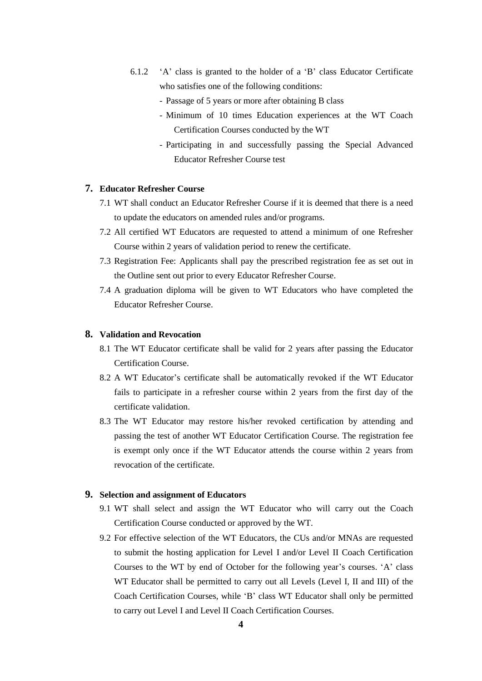- 6.1.2 'A' class is granted to the holder of a 'B' class Educator Certificate who satisfies one of the following conditions:
	- Passage of 5 years or more after obtaining B class
	- Minimum of 10 times Education experiences at the WT Coach Certification Courses conducted by the WT
	- Participating in and successfully passing the Special Advanced Educator Refresher Course test

## **7. Educator Refresher Course**

- 7.1 WT shall conduct an Educator Refresher Course if it is deemed that there is a need to update the educators on amended rules and/or programs.
- 7.2 All certified WT Educators are requested to attend a minimum of one Refresher Course within 2 years of validation period to renew the certificate.
- 7.3 Registration Fee: Applicants shall pay the prescribed registration fee as set out in the Outline sent out prior to every Educator Refresher Course.
- 7.4 A graduation diploma will be given to WT Educators who have completed the Educator Refresher Course.

## **8. Validation and Revocation**

- 8.1 The WT Educator certificate shall be valid for 2 years after passing the Educator Certification Course.
- 8.2 A WT Educator's certificate shall be automatically revoked if the WT Educator fails to participate in a refresher course within 2 years from the first day of the certificate validation.
- 8.3 The WT Educator may restore his/her revoked certification by attending and passing the test of another WT Educator Certification Course. The registration fee is exempt only once if the WT Educator attends the course within 2 years from revocation of the certificate.

## **9. Selection and assignment of Educators**

- 9.1 WT shall select and assign the WT Educator who will carry out the Coach Certification Course conducted or approved by the WT.
- 9.2 For effective selection of the WT Educators, the CUs and/or MNAs are requested to submit the hosting application for Level I and/or Level II Coach Certification Courses to the WT by end of October for the following year's courses. 'A' class WT Educator shall be permitted to carry out all Levels (Level I, II and III) of the Coach Certification Courses, while 'B' class WT Educator shall only be permitted to carry out Level I and Level II Coach Certification Courses.